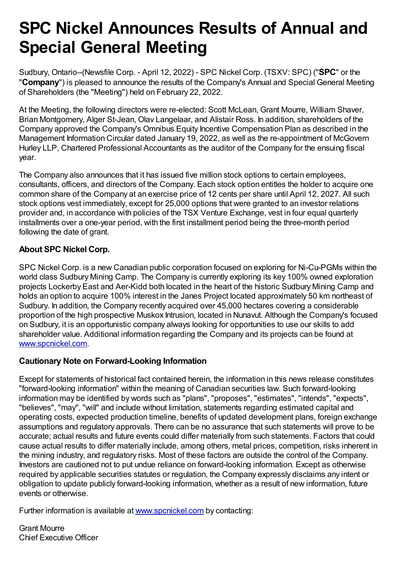## **SPC Nickel Announces Results of Annual and Special General Meeting**

Sudbury, Ontario--(Newsfile Corp. - April 12, 2022) - SPC Nickel Corp. (TSXV: SPC) ("**SPC**" or the "**Company**") is pleased to announce the results of the Company's Annual and Special General Meeting of Shareholders (the "Meeting") held on February 22, 2022.

At the Meeting, the following directors were re-elected: Scott McLean, Grant Mourre, William Shaver, Brian Montgomery, Alger St-Jean, Olav Langelaar, and Alistair Ross. In addition, shareholders of the Company approved the Company's Omnibus Equity Incentive Compensation Plan as described in the Management Information Circular dated January 19, 2022, as well as the re-appointment of McGovern Hurley LLP, Chartered Professional Accountants as the auditor of the Company for the ensuing fiscal year.

The Company also announces that it has issued five million stock options to certain employees, consultants, officers, and directors of the Company. Each stock option entitles the holder to acquire one common share of the Company at an exercise price of 12 cents per share until April 12, 2027. All such stock options vest immediately, except for 25,000 options that were granted to an investor relations provider and, in accordance with policies of the TSX Venture Exchange, vest in four equal quarterly installments over a one-year period, with the first installment period being the three-month period following the date of grant.

## **About SPC Nickel Corp.**

SPC Nickel Corp. is a new Canadian public corporation focused on exploring for Ni-Cu-PGMs within the world class Sudbury Mining Camp. The Company is currently exploring its key 100% owned exploration projects Lockerby East and Aer-Kidd both located in the heart of the historic Sudbury Mining Camp and holds an option to acquire 100% interest in the Janes Project located approximately 50 km northeast of Sudbury. In addition, the Company recently acquired over 45,000 hectares covering a considerable proportion of the high prospective Muskox Intrusion, located in Nunavut. Although the Company's focused on Sudbury, it is an opportunistic company always looking for opportunities to use our skills to add shareholder value. Additional information regarding the Company and its projects can be found at [www.spcnickel.com](https://www.newsfilecorp.com/redirect/moNL5FemR8).

## **Cautionary Note on Forward-Looking Information**

Except for statements of historical fact contained herein, the information in this news release constitutes "forward-looking information" within the meaning of Canadian securities law. Such forward-looking information may be identified by words such as "plans", "proposes", "estimates", "intends", "expects", "believes", "may", "will" and include without limitation, statements regarding estimated capital and operating costs, expected production timeline, benefits of updated development plans, foreign exchange assumptions and regulatory approvals. There can be no assurance that such statements will prove to be accurate; actual results and future events could differ materially from such statements. Factors that could cause actual results to differ materially include, among others, metal prices, competition, risks inherent in the mining industry, and regulatory risks. Most of these factors are outside the control of the Company. Investors are cautioned not to put undue reliance on forward-looking information. Except as otherwise required by applicable securities statutes or regulation, the Company expressly disclaims any intent or obligation to update publicly forward-looking information, whether as a result of new information, future events or otherwise.

Further information is available at [www.spcnickel.com](https://www.newsfilecorp.com/redirect/kzLm5t1851) by contacting:

Grant Mourre Chief Executive Officer